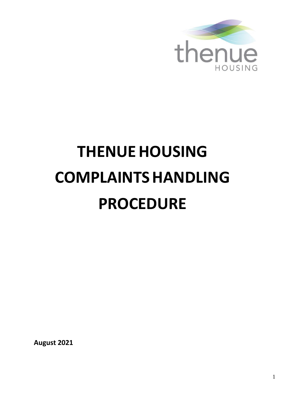

# **THENUEHOUSING COMPLAINTSHANDLING PROCEDURE**

**August 2021**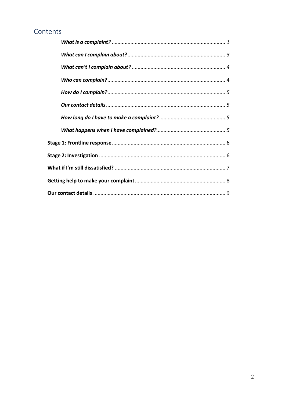# Contents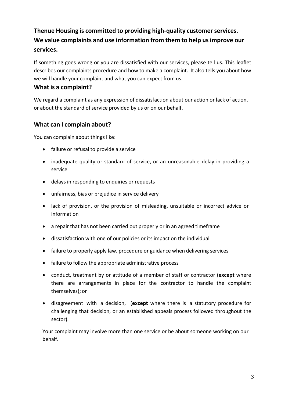# **Thenue Housing is committed to providing high-quality customerservices. We value complaints and use information from them to help usimprove our services.**

If something goes wrong or you are dissatisfied with our services, please tell us. This leaflet describes our complaints procedure and how to make a complaint. It also tells you about how we will handle your complaint and what you can expect from us.

## <span id="page-2-0"></span>**What is a complaint?**

We regard a complaint as any expression of dissatisfaction about our action or lack of action, or about the standard of service provided by us or on our behalf.

## <span id="page-2-1"></span>**What can I complain about?**

You can complain about things like:

- failure or refusal to provide a service
- inadequate quality or standard of service, or an unreasonable delay in providing a service
- delays in responding to enquiries or requests
- unfairness, bias or prejudice in service delivery
- lack of provision, or the provision of misleading, unsuitable or incorrect advice or information
- a repair that has not been carried out properly or in an agreed timeframe
- dissatisfaction with one of our policies or its impact on the individual
- failure to properly apply law, procedure or guidance when delivering services
- failure to follow the appropriate administrative process
- conduct, treatment by or attitude of a member of staff or contractor (**except** where there are arrangements in place for the contractor to handle the complaint themselves); or
- disagreement with a decision, (**except** where there is a statutory procedure for challenging that decision, or an established appeals process followed throughout the sector).

Your complaint may involve more than one service or be about someone working on our behalf.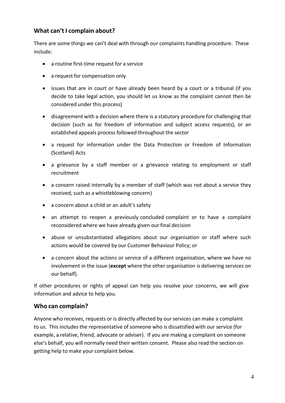## <span id="page-3-0"></span>**What can't I complain about?**

There are some things we can't deal with through our complaints handling procedure. These include:

- a routine first-time request for a service
- a request for compensation only
- issues that are in court or have already been heard by a court or a tribunal (if you decide to take legal action, you should let us know as the complaint cannot then be considered under this process)
- disagreement with a decision where there is a statutory procedure for challenging that decision (such as for freedom of information and subject access requests), or an established appeals process followed throughout the sector
- a request for information under the Data Protection or Freedom of Information (Scotland) Acts
- a grievance by a staff member or a grievance relating to employment or staff recruitment
- a concern raised internally by a member of staff (which was not about a service they received, such as a whistleblowing concern)
- a concern about a child or an adult's safety
- an attempt to reopen a previously concluded complaint or to have a complaint reconsidered where we have already given our final decision
- abuse or unsubstantiated allegations about our organisation or staff where such actions would be covered by our Customer Behaviour Policy; or
- a concern about the actions or service of a different organisation, where we have no involvement in the issue (**except** where the other organisation is delivering services on our behalf).

If other procedures or rights of appeal can help you resolve your concerns, we will give information and advice to help you.

### <span id="page-3-1"></span>**Who can complain?**

Anyone who receives, requests or is directly affected by ourservices can make a complaint to us. This includes the representative of someone who is dissatisfied with our service (for example, a relative, friend, advocate or adviser). If you are making a complaint on someone else's behalf, you will normally need their written consent. Please also read the section on getting help to make your complaint below.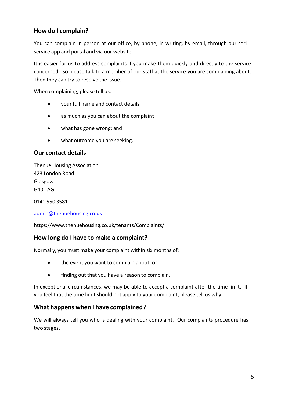## <span id="page-4-0"></span>**How do I complain?**

You can complain in person at our office, by phone, in writing, by email, through our serlservice app and portal and via our website.

It is easier for us to address complaints if you make them quickly and directly to the service concerned. So please talk to a member of our staff at the service you are complaining about. Then they can try to resolve the issue.

When complaining, please tell us:

- your full name and contact details
- as much as you can about the complaint
- what has gone wrong; and
- what outcome you are seeking.

## <span id="page-4-1"></span>**Our contact details**

Thenue Housing Association 423 London Road Glasgow G40 1AG

0141 550 3581

[admin@thenuehousing.co.uk](mailto:admin@thenuehousing.co.uk)

https:/[/www.thenuehousing.co.uk/tenants/Complaints/](http://www.thenuehousing.co.uk/tenants/Complaints/)

### <span id="page-4-2"></span>**How long do I have to make a complaint?**

Normally, you must make your complaint within six months of:

- the event you want to complain about; or
- finding out that you have a reason to complain.

In exceptional circumstances, we may be able to accept a complaint after the time limit. If you feel that the time limit should not apply to your complaint, please tell us why.

### <span id="page-4-3"></span>**What happens when I have complained?**

We will always tell you who is dealing with your complaint. Our complaints procedure has two stages.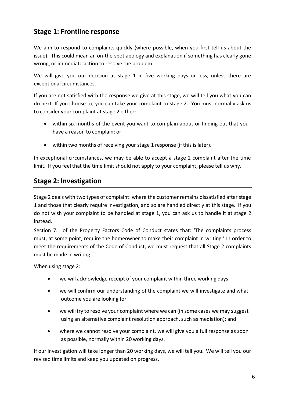# <span id="page-5-0"></span>**Stage 1: Frontline response**

We aim to respond to complaints quickly (where possible, when you first tell us about the issue). This could mean an on-the-spot apology and explanation if something has clearly gone wrong, or immediate action to resolve the problem.

We will give you our decision at stage 1 in five working days or less, unless there are exceptional circumstances.

If you are not satisfied with the response we give at this stage, we will tell you what you can do next. If you choose to, you can take your complaint to stage 2. You must normally ask us to consider your complaint at stage 2 either:

- within six months of the event you want to complain about or finding out that you have a reason to complain; or
- within two months of receiving your stage 1 response (if this is later).

In exceptional circumstances, we may be able to accept a stage 2 complaint after the time limit. If you feel that the time limit should not apply to your complaint, please tell us why.

## <span id="page-5-1"></span>**Stage 2: Investigation**

Stage 2 deals with two types of complaint: where the customer remains dissatisfied after stage 1 and those that clearly require investigation, and so are handled directly at this stage. If you do not wish your complaint to be handled at stage 1, you can ask us to handle it at stage 2 instead.

Section 7.1 of the Property Factors Code of Conduct states that: 'The complaints process must, at some point, require the homeowner to make their complaint in writing.' In order to meet the requirements of the Code of Conduct, we must request that all Stage 2 complaints must be made in writing.

When using stage 2:

- we will acknowledge receipt of your complaint within three working days
- we will confirm our understanding of the complaint we will investigate and what outcome you are looking for
- we will try to resolve your complaint where we can (in some cases we may suggest using an alternative complaint resolution approach, such as mediation); and
- where we cannot resolve your complaint, we will give you a full response as soon as possible, normally within 20 working days.

If our investigation will take longer than 20 working days, we will tell you. We will tell you our revised time limits and keep you updated on progress.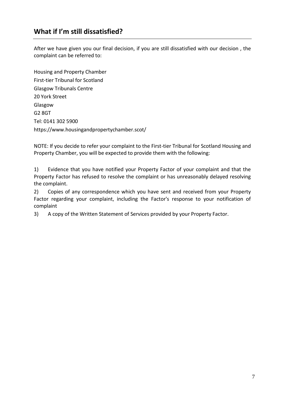# <span id="page-6-0"></span>**What if I'm still dissatisfied?**

After we have given you our final decision, if you are still dissatisfied with our decision , the complaint can be referred to:

Housing and Property Chamber First-tier Tribunal for Scotland Glasgow Tribunals Centre 20 York Street Glasgow G2 8GT Tel: 0141 302 5900 https://www.housingandpropertychamber.scot/

NOTE: If you decide to refer your complaint to the First-tier Tribunal for Scotland Housing and Property Chamber, you will be expected to provide them with the following:

1) Evidence that you have notified your Property Factor of your complaint and that the Property Factor has refused to resolve the complaint or has unreasonably delayed resolving the complaint.

2) Copies of any correspondence which you have sent and received from your Property Factor regarding your complaint, including the Factor's response to your notification of complaint

3) A copy of the Written Statement of Services provided by your Property Factor.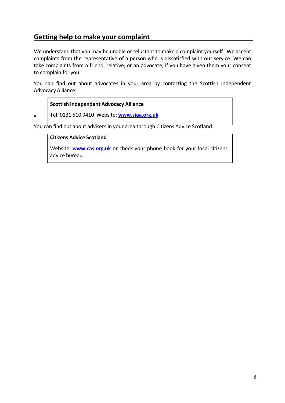# <span id="page-7-0"></span>**Getting help to make your complaint**

We understand that you may be unable or reluctant to make a complaint yourself. We accept complaints from the representative of a person who is dissatisfied with our service. We can take complaints from a friend, relative, or an advocate, if you have given them your consent to complain for you.

You can find out about advocates in your area by contacting the Scottish Independent Advocacy Alliance:

#### **Scottish Independent Advocacy Alliance**

Tel: 0131 510 9410 Website: **www.siaa.org.uk**

You can find out about advisers in your area through Citizens Advice Scotland:

#### **Citizens Advice Scotland**

•

Website: **www.cas.org.uk** or check your phone book for your local citizens advice bureau.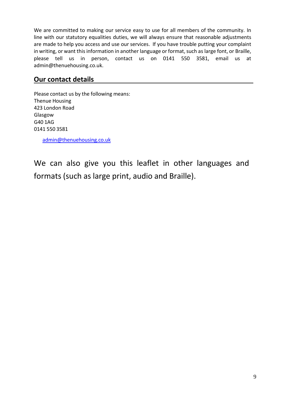We are committed to making our service easy to use for all members of the community. In line with our statutory equalities duties, we will always ensure that reasonable adjustments are made to help you access and use our services. If you have trouble putting your complaint in writing, or want this information in another language or format, such as large font, or Braille, please tell us in person, contact us on 0141 550 3581, email us at admin@thenuehousing.co.uk.

# <span id="page-8-0"></span>**Our contact details**

Please contact us by the following means: Thenue Housing 423 London Road Glasgow G40 1AG 0141 550 3581

admin@thenuehousing.co.uk

We can also give you this leaflet in other languages and formats (such as large print, audio and Braille).